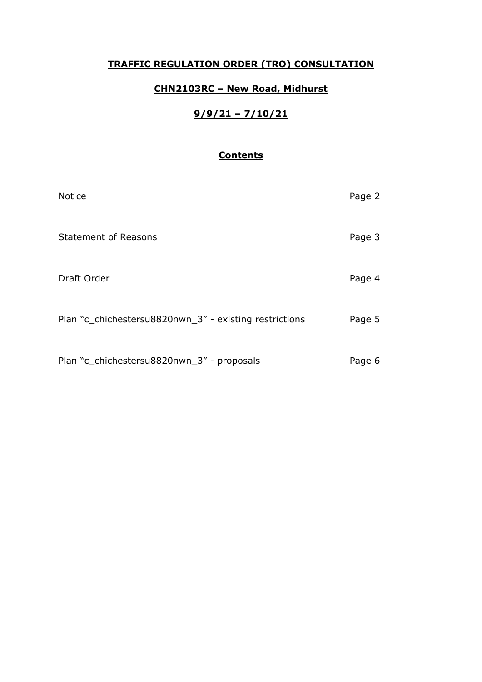### **TRAFFIC REGULATION ORDER (TRO) CONSULTATION**

### **CHN2103RC – New Road, Midhurst**

# **9/9/21 – 7/10/21**

## **Contents**

| <b>Notice</b>                                          | Page 2 |
|--------------------------------------------------------|--------|
| <b>Statement of Reasons</b>                            | Page 3 |
| Draft Order                                            | Page 4 |
| Plan "c_chichestersu8820nwn_3" - existing restrictions | Page 5 |
| Plan "c_chichestersu8820nwn_3" - proposals             | Page 6 |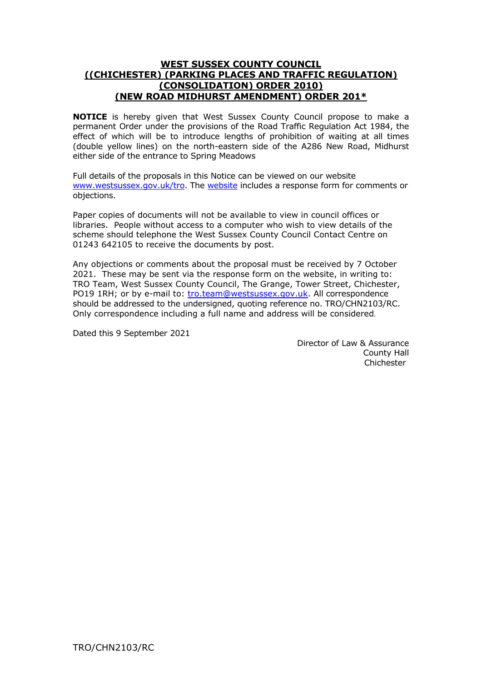#### **WEST SUSSEX COUNTY COUNCIL ((CHICHESTER) (PARKING PLACES AND TRAFFIC REGULATION) (CONSOLIDATION) ORDER 2010) (NEW ROAD MIDHURST AMENDMENT) ORDER 201\***

**NOTICE** is hereby given that West Sussex County Council propose to make a permanent Order under the provisions of the Road Traffic Regulation Act 1984, the effect of which will be to introduce lengths of prohibition of waiting at all times (double yellow lines) on the north-eastern side of the A286 New Road, Midhurst either side of the entrance to Spring Meadows

Full details of the proposals in this Notice can be viewed on our website [www.westsussex.gov.uk/tro.](http://www.westsussex.gov.uk/tro) The [website](https://www.westsussex.gov.uk/roads-and-travel/traffic-regulation-orders/) includes a response form for comments or objections.

Paper copies of documents will not be available to view in council offices or libraries. People without access to a computer who wish to view details of the scheme should telephone the West Sussex County Council Contact Centre on 01243 642105 to receive the documents by post.

Any objections or comments about the proposal must be received by 7 October 2021. These may be sent via the response form on the website, in writing to: TRO Team, West Sussex County Council, The Grange, Tower Street, Chichester, PO19 1RH; or by e-mail to: [tro.team@westsussex.gov.uk.](mailto:tro.team@westsussex.gov.uk) All correspondence should be addressed to the undersigned, quoting reference no. TRO/CHN2103/RC. Only correspondence including a full name and address will be considered.

Dated this 9 September 2021

 Director of Law & Assurance County Hall Chichester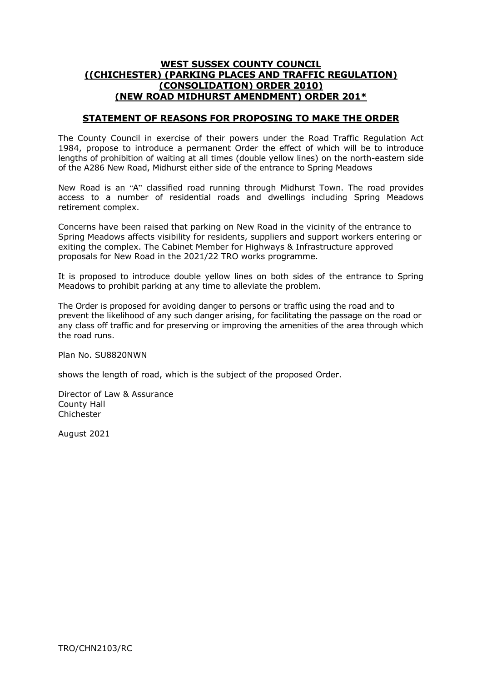#### **WEST SUSSEX COUNTY COUNCIL ((CHICHESTER) (PARKING PLACES AND TRAFFIC REGULATION) (CONSOLIDATION) ORDER 2010) (NEW ROAD MIDHURST AMENDMENT) ORDER 201\***

#### **STATEMENT OF REASONS FOR PROPOSING TO MAKE THE ORDER**

The County Council in exercise of their powers under the Road Traffic Regulation Act 1984, propose to introduce a permanent Order the effect of which will be to introduce lengths of prohibition of waiting at all times (double yellow lines) on the north-eastern side of the A286 New Road, Midhurst either side of the entrance to Spring Meadows

New Road is an "A" classified road running through Midhurst Town. The road provides access to a number of residential roads and dwellings including Spring Meadows retirement complex.

Concerns have been raised that parking on New Road in the vicinity of the entrance to Spring Meadows affects visibility for residents, suppliers and support workers entering or exiting the complex. The Cabinet Member for Highways & Infrastructure approved proposals for New Road in the 2021/22 TRO works programme.

It is proposed to introduce double yellow lines on both sides of the entrance to Spring Meadows to prohibit parking at any time to alleviate the problem.

The Order is proposed for avoiding danger to persons or traffic using the road and to prevent the likelihood of any such danger arising, for facilitating the passage on the road or any class off traffic and for preserving or improving the amenities of the area through which the road runs.

Plan No. SU8820NWN

shows the length of road, which is the subject of the proposed Order.

Director of Law & Assurance County Hall Chichester

August 2021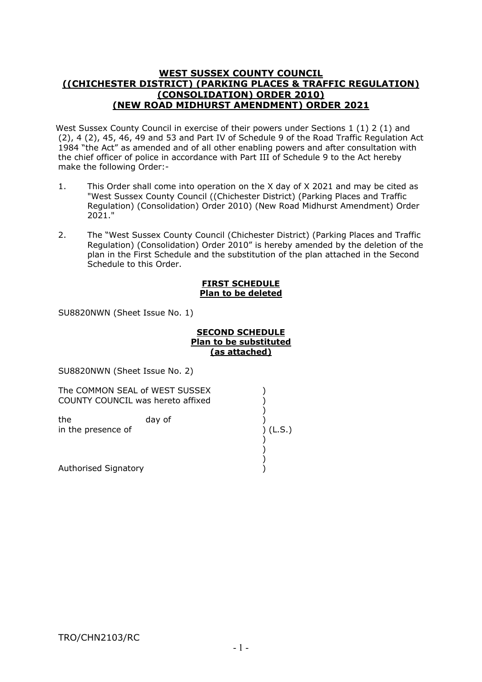#### **WEST SUSSEX COUNTY COUNCIL ((CHICHESTER DISTRICT) (PARKING PLACES & TRAFFIC REGULATION) (CONSOLIDATION) ORDER 2010) (NEW ROAD MIDHURST AMENDMENT) ORDER 2021**

West Sussex County Council in exercise of their powers under Sections 1 (1) 2 (1) and (2), 4 (2), 45, 46, 49 and 53 and Part IV of Schedule 9 of the Road Traffic Regulation Act 1984 "the Act" as amended and of all other enabling powers and after consultation with the chief officer of police in accordance with Part III of Schedule 9 to the Act hereby make the following Order:-

- 1. This Order shall come into operation on the X day of X 2021 and may be cited as "West Sussex County Council ((Chichester District) (Parking Places and Traffic Regulation) (Consolidation) Order 2010) (New Road Midhurst Amendment) Order 2021."
- 2. The "West Sussex County Council (Chichester District) (Parking Places and Traffic Regulation) (Consolidation) Order 2010" is hereby amended by the deletion of the plan in the First Schedule and the substitution of the plan attached in the Second Schedule to this Order.

#### **FIRST SCHEDULE Plan to be deleted**

SU8820NWN (Sheet Issue No. 1)

#### **SECOND SCHEDULE Plan to be substituted (as attached)**

SU8820NWN (Sheet Issue No. 2)

| The COMMON SEAL of WEST SUSSEX<br>COUNTY COUNCIL was hereto affixed |        |          |
|---------------------------------------------------------------------|--------|----------|
| the<br>in the presence of                                           | day of | ) (L.S.) |
| Authorised Signatory                                                |        |          |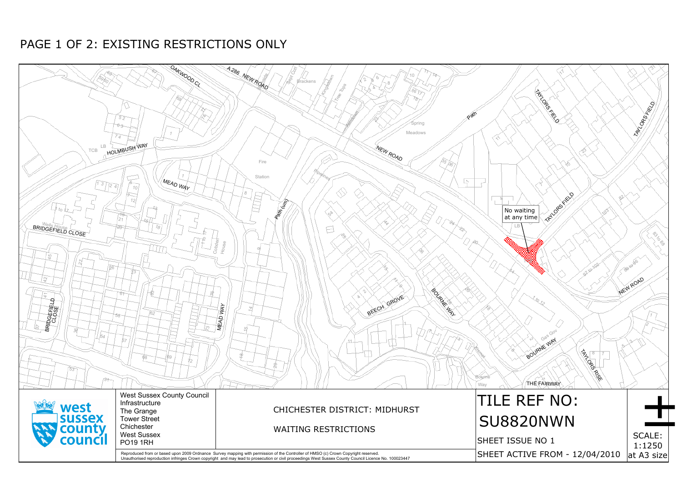

# PAGE 1 OF 2: EXISTING RESTRICTIONS ONLY